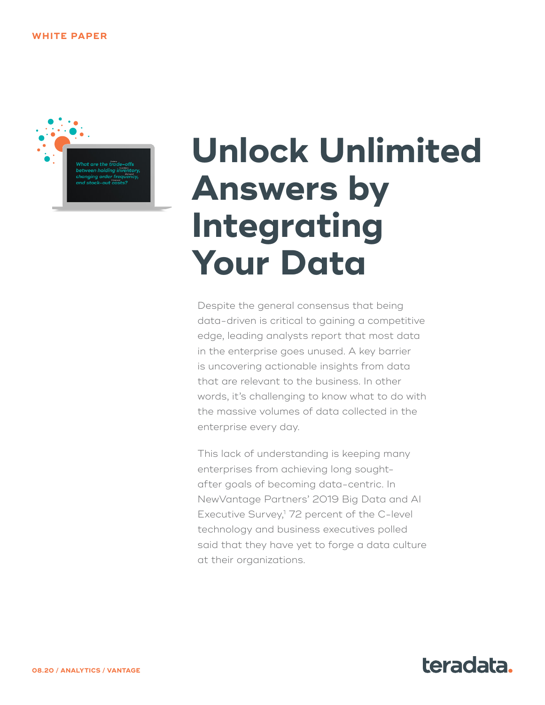

# **Unlock Unlimited Answers by Integrating Your Data**

Despite the general consensus that being data-driven is critical to gaining a competitive edge, leading analysts report that most data in the enterprise goes unused. A key barrier is uncovering actionable insights from data that are relevant to the business. In other words, it's challenging to know what to do with the massive volumes of data collected in the enterprise every day.

This lack of understanding is keeping many enterprises from achieving long soughtafter goals of becoming data-centric. In NewVantage Partners' 2019 Big Data and AI Executive Survey,<sup>1</sup> 72 percent of the C-level technology and business executives polled said that they have yet to forge a data culture at their organizations.

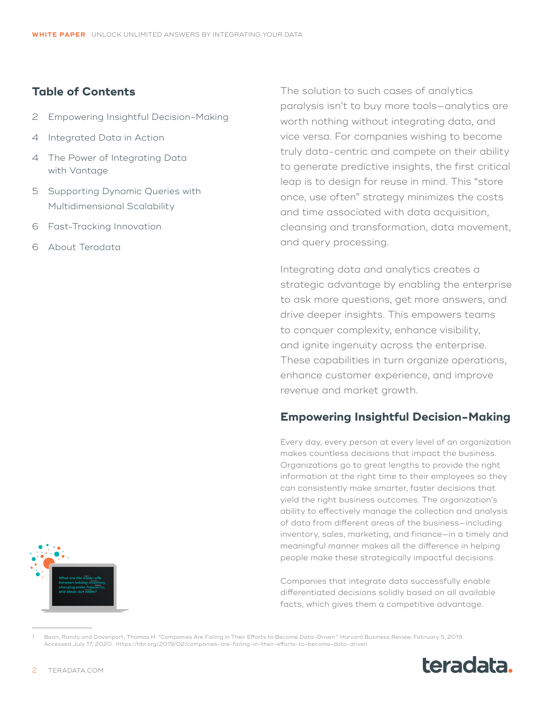## **Table of Contents**

- 2 Empowering Insightful Decision-Making
- 4 [Integrated Data in Action](#page-3-0)
- 4 [The Power of Integrating Data](#page-3-0) [with Vantage](#page-3-0)
- 5 [Supporting Dynamic Queries with](#page-4-0)  [Multidimensional Scalability](#page-4-0)
- 6 [Fast-Tracking Innovation](#page-5-0)
- 6 [About Teradata](#page-5-0)

The solution to such cases of analytics paralysis isn't to buy more tools—analytics are worth nothing without integrating data, and vice versa. For companies wishing to become truly data-centric and compete on their ability to generate predictive insights, the first critical leap is to design for reuse in mind. This "store once, use often" strategy minimizes the costs and time associated with data acquisition, cleansing and transformation, data movement, and query processing.

Integrating data and analytics creates a strategic advantage by enabling the enterprise to ask more questions, get more answers, and drive deeper insights. This empowers teams to conquer complexity, enhance visibility, and ignite ingenuity across the enterprise. These capabilities in turn organize operations, enhance customer experience, and improve revenue and market growth.

# **Empowering Insightful Decision-Making**

Every day, every person at every level of an organization makes countless decisions that impact the business. Organizations go to great lengths to provide the right information at the right time to their employees so they can consistently make smarter, faster decisions that yield the right business outcomes. The organization's ability to effectively manage the collection and analysis of data from different areas of the business—including inventory, sales, marketing, and finance—in a timely and meaningful manner makes all the difference in helping people make these strategically impactful decisions.

Companies that integrate data successfully enable differentiated decisions solidly based on all available facts, which gives them a competitive advantage.

<sup>1</sup> Bean, Randy and Davenport, Thomas H. "Companies Are Failing in Their Efforts to Become Data-Driven." Harvard Business Review. February 5, 2019. Accessed July 17, 2020. [https://hbr.org/2019/02/companies-are-failing-in-their-efforts-to-become-data-driven.](https://hbr.org/2019/02/companies-are-failing-in-their-efforts-to-become-data-driven)



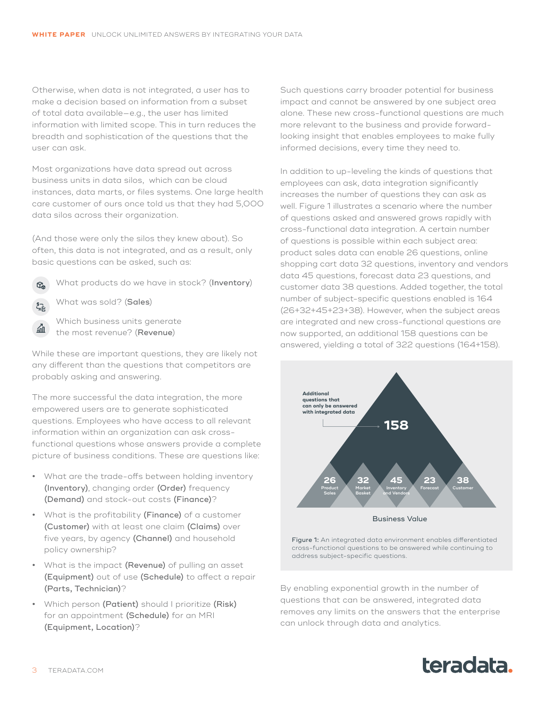Otherwise, when data is not integrated, a user has to make a decision based on information from a subset of total data available—e.g., the user has limited information with limited scope. This in turn reduces the breadth and sophistication of the questions that the user can ask.

Most organizations have data spread out across business units in data silos, which can be cloud instances, data marts, or files systems. One large health care customer of ours once told us that they had 5,000 data silos across their organization.

(And those were only the silos they knew about). So often, this data is not integrated, and as a result, only basic questions can be asked, such as:

What products do we have in stock? (Inventory)

What was sold? (Sales)

 $\mathbb{G}_{p}$ 

血

Which business units generate the most revenue? (Revenue)

While these are important questions, they are likely not any different than the questions that competitors are probably asking and answering.

The more successful the data integration, the more empowered users are to generate sophisticated questions. Employees who have access to all relevant information within an organization can ask crossfunctional questions whose answers provide a complete picture of business conditions. These are questions like:

- **•** What are the trade-offs between holding inventory (Inventory), changing order (Order) frequency (Demand) and stock-out costs (Finance)?
- **•** What is the profitability (Finance) of a customer (Customer) with at least one claim (Claims) over five years, by agency (Channel) and household policy ownership?
- **•** What is the impact (Revenue) of pulling an asset (Equipment) out of use (Schedule) to affect a repair (Parts, Technician)?
- **•** Which person (Patient) should I prioritize (Risk) for an appointment (Schedule) for an MRI (Equipment, Location)?

Such questions carry broader potential for business impact and cannot be answered by one subject area alone. These new cross-functional questions are much more relevant to the business and provide forwardlooking insight that enables employees to make fully informed decisions, every time they need to.

In addition to up-leveling the kinds of questions that employees can ask, data integration significantly increases the number of questions they can ask as well. Figure 1 illustrates a scenario where the number of questions asked and answered grows rapidly with cross-functional data integration. A certain number of questions is possible within each subject area: product sales data can enable 26 questions, online shopping cart data 32 questions, inventory and vendors data 45 questions, forecast data 23 questions, and customer data 38 questions. Added together, the total number of subject-specific questions enabled is 164 (26+32+45+23+38). However, when the subject areas are integrated and new cross-functional questions are now supported, an additional 158 questions can be answered, yielding a total of 322 questions (164+158).



Figure 1: An integrated data environment enables differentiated cross-functional questions to be answered while continuing to address subject-specific questions.

By enabling exponential growth in the number of questions that can be answered, integrated data removes any limits on the answers that the enterprise can unlock through data and analytics.

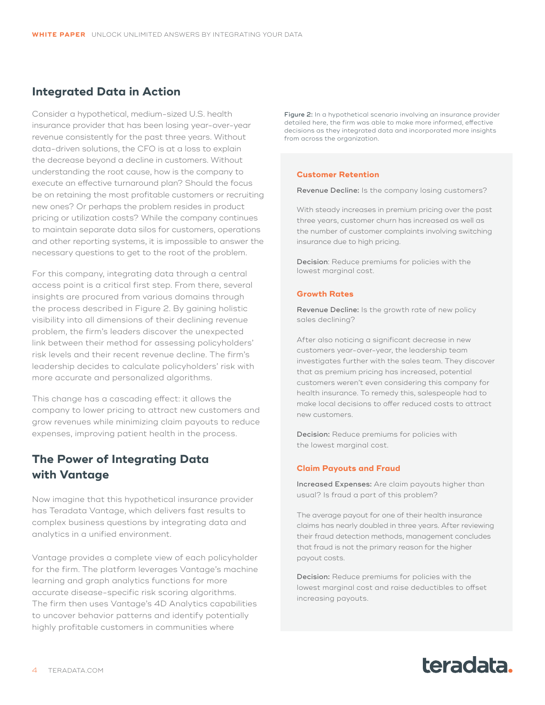## <span id="page-3-0"></span>**Integrated Data in Action**

Consider a hypothetical, medium-sized U.S. health insurance provider that has been losing year-over-year revenue consistently for the past three years. Without data-driven solutions, the CFO is at a loss to explain the decrease beyond a decline in customers. Without understanding the root cause, how is the company to execute an effective turnaround plan? Should the focus be on retaining the most profitable customers or recruiting new ones? Or perhaps the problem resides in product pricing or utilization costs? While the company continues to maintain separate data silos for customers, operations and other reporting systems, it is impossible to answer the necessary questions to get to the root of the problem.

For this company, integrating data through a central access point is a critical first step. From there, several insights are procured from various domains through the process described in Figure 2. By gaining holistic visibility into all dimensions of their declining revenue problem, the firm's leaders discover the unexpected link between their method for assessing policyholders' risk levels and their recent revenue decline. The firm's leadership decides to calculate policyholders' risk with more accurate and personalized algorithms.

This change has a cascading effect: it allows the company to lower pricing to attract new customers and grow revenues while minimizing claim payouts to reduce expenses, improving patient health in the process.

# **The Power of Integrating Data with Vantage**

Now imagine that this hypothetical insurance provider has Teradata Vantage, which delivers fast results to complex business questions by integrating data and analytics in a unified environment.

Vantage provides a complete view of each policyholder for the firm. The platform leverages Vantage's machine learning and graph analytics functions for more accurate disease-specific risk scoring algorithms. The firm then uses Vantage's 4D Analytics capabilities to uncover behavior patterns and identify potentially highly profitable customers in communities where

Figure 2: In a hypothetical scenario involving an insurance provider detailed here, the firm was able to make more informed, effective decisions as they integrated data and incorporated more insights from across the organization.

#### **Customer Retention**

Revenue Decline: Is the company losing customers?

With steady increases in premium pricing over the past three years, customer churn has increased as well as the number of customer complaints involving switching insurance due to high pricing.

Decision: Reduce premiums for policies with the lowest marginal cost.

#### **Growth Rates**

Revenue Decline: Is the growth rate of new policy sales declining?

After also noticing a significant decrease in new customers year-over-year, the leadership team investigates further with the sales team. They discover that as premium pricing has increased, potential customers weren't even considering this company for health insurance. To remedy this, salespeople had to make local decisions to offer reduced costs to attract new customers.

Decision: Reduce premiums for policies with the lowest marginal cost.

#### **Claim Payouts and Fraud**

Increased Expenses: Are claim payouts higher than usual? Is fraud a part of this problem?

The average payout for one of their health insurance claims has nearly doubled in three years. After reviewing their fraud detection methods, management concludes that fraud is not the primary reason for the higher payout costs.

Decision: Reduce premiums for policies with the lowest marginal cost and raise deductibles to offset increasing payouts.

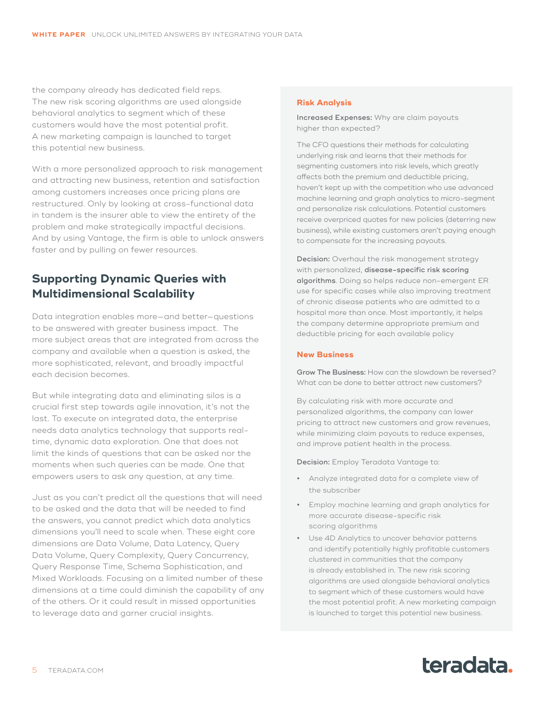<span id="page-4-0"></span>the company already has dedicated field reps. The new risk scoring algorithms are used alongside behavioral analytics to segment which of these customers would have the most potential profit. A new marketing campaign is launched to target this potential new business.

With a more personalized approach to risk management and attracting new business, retention and satisfaction among customers increases once pricing plans are restructured. Only by looking at cross-functional data in tandem is the insurer able to view the entirety of the problem and make strategically impactful decisions. And by using Vantage, the firm is able to unlock answers faster and by pulling on fewer resources.

# **Supporting Dynamic Queries with Multidimensional Scalability**

Data integration enables more—and better—questions to be answered with greater business impact. The more subject areas that are integrated from across the company and available when a question is asked, the more sophisticated, relevant, and broadly impactful each decision becomes.

But while integrating data and eliminating silos is a crucial first step towards agile innovation, it's not the last. To execute on integrated data, the enterprise needs data analytics technology that supports realtime, dynamic data exploration. One that does not limit the kinds of questions that can be asked nor the moments when such queries can be made. One that empowers users to ask any question, at any time.

Just as you can't predict all the questions that will need to be asked and the data that will be needed to find the answers, you cannot predict which data analytics dimensions you'll need to scale when. These eight core dimensions are Data Volume, Data Latency, Query Data Volume, Query Complexity, Query Concurrency, Query Response Time, Schema Sophistication, and Mixed Workloads. Focusing on a limited number of these dimensions at a time could diminish the capability of any of the others. Or it could result in missed opportunities to leverage data and garner crucial insights.

#### **Risk Analysis**

Increased Expenses: Why are claim payouts higher than expected?

The CFO questions their methods for calculating underlying risk and learns that their methods for segmenting customers into risk levels, which greatly affects both the premium and deductible pricing, haven't kept up with the competition who use advanced machine learning and graph analytics to micro-segment and personalize risk calculations. Potential customers receive overpriced quotes for new policies (deterring new business), while existing customers aren't paying enough to compensate for the increasing payouts.

Decision: Overhaul the risk management strategy with personalized, [disease-specific risk scoring](https://www.teradata.com/Press-Releases/2016/Teradata,-Knowledgent-Team-Up-to-Help-Healthc)  [algorithms](https://www.teradata.com/Press-Releases/2016/Teradata,-Knowledgent-Team-Up-to-Help-Healthc). Doing so helps reduce non-emergent ER use for specific cases while also improving treatment of chronic disease patients who are admitted to a hospital more than once. Most importantly, it helps the company determine appropriate premium and deductible pricing for each available policy

#### **New Business**

Grow The Business: How can the slowdown be reversed? What can be done to better attract new customers?

By calculating risk with more accurate and personalized algorithms, the company can lower pricing to attract new customers and grow revenues, while minimizing claim payouts to reduce expenses, and improve patient health in the process.

Decision: Employ Teradata Vantage to:

- **•** Analyze integrated data for a complete view of the subscriber
- **•** Employ machine learning and graph analytics for more accurate disease-specific risk scoring algorithms
- **•** Use 4D Analytics to uncover behavior patterns and identify potentially highly profitable customers clustered in communities that the company is already established in. The new risk scoring algorithms are used alongside behavioral analytics to segment which of these customers would have the most potential profit. A new marketing campaign is launched to target this potential new business.